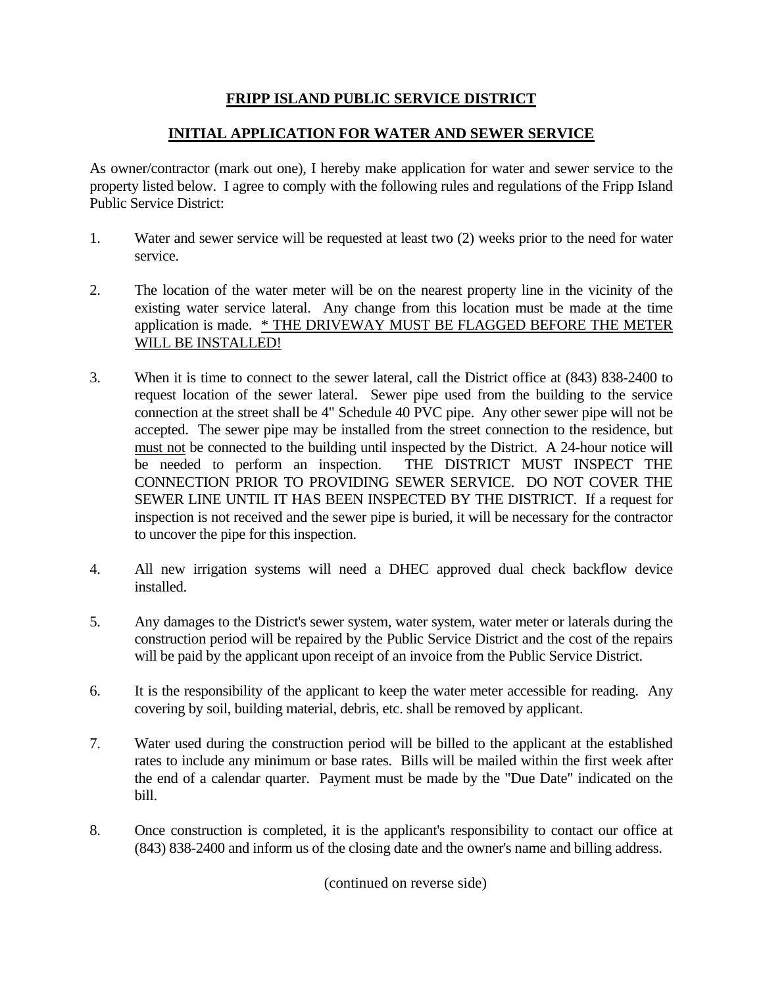## **FRIPP ISLAND PUBLIC SERVICE DISTRICT**

## **INITIAL APPLICATION FOR WATER AND SEWER SERVICE**

As owner/contractor (mark out one), I hereby make application for water and sewer service to the property listed below. I agree to comply with the following rules and regulations of the Fripp Island Public Service District:

- 1. Water and sewer service will be requested at least two (2) weeks prior to the need for water service.
- 2. The location of the water meter will be on the nearest property line in the vicinity of the existing water service lateral. Any change from this location must be made at the time application is made. \* THE DRIVEWAY MUST BE FLAGGED BEFORE THE METER WILL BE INSTALLED!
- 3. When it is time to connect to the sewer lateral, call the District office at (843) 838-2400 to request location of the sewer lateral. Sewer pipe used from the building to the service connection at the street shall be 4" Schedule 40 PVC pipe. Any other sewer pipe will not be accepted. The sewer pipe may be installed from the street connection to the residence, but must not be connected to the building until inspected by the District. A 24-hour notice will be needed to perform an inspection. THE DISTRICT MUST INSPECT THE CONNECTION PRIOR TO PROVIDING SEWER SERVICE. DO NOT COVER THE SEWER LINE UNTIL IT HAS BEEN INSPECTED BY THE DISTRICT. If a request for inspection is not received and the sewer pipe is buried, it will be necessary for the contractor to uncover the pipe for this inspection.
- 4. All new irrigation systems will need a DHEC approved dual check backflow device installed.
- 5. Any damages to the District's sewer system, water system, water meter or laterals during the construction period will be repaired by the Public Service District and the cost of the repairs will be paid by the applicant upon receipt of an invoice from the Public Service District.
- 6. It is the responsibility of the applicant to keep the water meter accessible for reading. Any covering by soil, building material, debris, etc. shall be removed by applicant.
- 7. Water used during the construction period will be billed to the applicant at the established rates to include any minimum or base rates. Bills will be mailed within the first week after the end of a calendar quarter. Payment must be made by the "Due Date" indicated on the bill.
- 8. Once construction is completed, it is the applicant's responsibility to contact our office at (843) 838-2400 and inform us of the closing date and the owner's name and billing address.

(continued on reverse side)